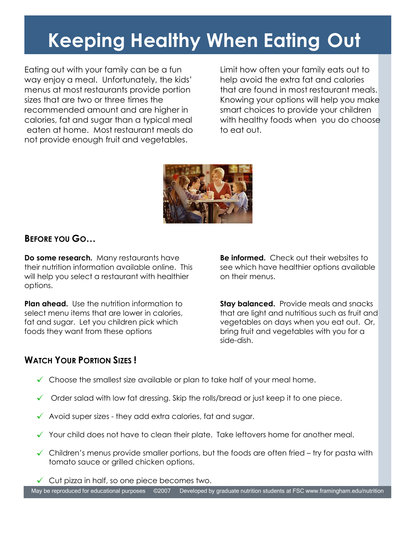# **Keeping Healthy When Eating Out**

Eating out with your family can be a fun way enjoy a meal. Unfortunately, the kids' menus at most restaurants provide portion sizes that are two or three times the recommended amount and are higher in calories, fat and sugar than a typical meal eaten at home. Most restaurant meals do not provide enough fruit and vegetables.

Limit how often your family eats out to help avoid the extra fat and calories that are found in most restaurant meals. Knowing your options will help you make smart choices to provide your children with healthy foods when you do choose to eat out.



## **BEFORE YOU GO…**

**Do some research.** Many restaurants have their nutrition information available online. This will help you select a restaurant with healthier options.

**Plan ahead.** Use the nutrition information to select menu items that are lower in calories, fat and sugar. Let you children pick which foods they want from these options

**Be informed.** Check out their websites to see which have healthier options available on their menus.

**Stay balanced.** Provide meals and snacks that are light and nutritious such as fruit and vegetables on days when you eat out. Or, bring fruit and vegetables with you for a side-dish.

## **WATCH YOUR PORTION SIZES !**

- $\checkmark$  Choose the smallest size available or plan to take half of your meal home.
- $\checkmark$  Order salad with low fat dressing. Skip the rolls/bread or just keep it to one piece.
- $\checkmark$  Avoid super sizes they add extra calories, fat and sugar.
- $\checkmark$  Your child does not have to clean their plate. Take leftovers home for another meal.
- $\checkmark$  Children's menus provide smaller portions, but the foods are often fried try for pasta with tomato sauce or grilled chicken options.
- $\checkmark$  Cut pizza in half, so one piece becomes two.

May be reproduced for educational purposes ©2007 Developed by graduate nutrition students at FSC www.framingham.edu/nutrition